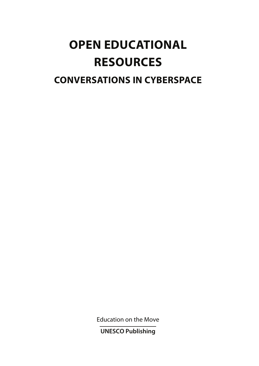# **OPEN EDUCATIONAL RESOURCES**

# **CONVERSATIONS IN CYBERSPACE**

**Education on the Move** 

**UNESCO Publishing**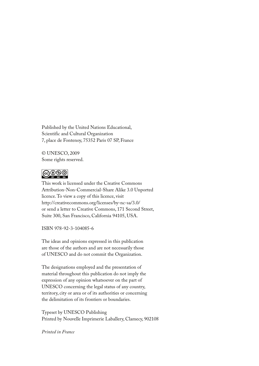Published by the United Nations Educational, Scientific and Cultural Organization 7, place de Fontenoy, 75352 Paris 07 SP, France

© UNESCO, 2009 Some rights reserved.

# $\overline{\text{cc}}$   $\overline{\text{O}}$   $\overline{\text{O}}$   $\overline{\text{O}}$

This work is licensed under the Creative Commons Attribution-Non-Commercial-Share Alike 3.0 Unported licence. To view a copy of this licence, visit http://creativecommons.org/licenses/by-nc-sa/3.0/ or send a letter to Creative Commons, 171 Second Street, Suite 300, San Francisco, California 94105, USA.

ISBN 978-92-3-104085-6

The ideas and opinions expressed in this publication are those of the authors and are not necessarily those of UNESCO and do not commit the Organization.

The designations employed and the presentation of material throughout this publication do not imply the expression of any opinion whatsoever on the part of UNESCO concerning the legal status of any country, territory, city or area or of its authorities or concerning the delimitation of its frontiers or boundaries.

Typeset by UNESCO Publishing Printed by Nouvelle Imprimerie Laballery, Clamecy, 902108

*Printed in France*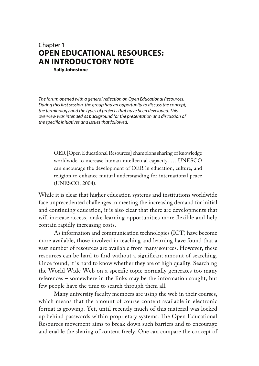# Chapter 1 **OPEN EDUCATIONAL RESOURCES: AN INTRODUCTORY NOTE**

**Sally Johnstone** 

The forum opened with a general reflection on Open Educational Resources. During this first session, the group had an opportunity to discuss the concept, the terminology and the types of projects that have been developed. This overview was intended as background for the presentation and discussion of the specific initiatives and issues that followed.

OER [Open Educational Resources] champions sharing of knowledge worldwide to increase human intellectual capacity. … UNESCO can encourage the development of OER in education, culture, and religion to enhance mutual understanding for international peace (UNESCO, 2004).

While it is clear that higher education systems and institutions worldwide face unprecedented challenges in meeting the increasing demand for initial and continuing education, it is also clear that there are developments that will increase access, make learning opportunities more flexible and help contain rapidly increasing costs.

As information and communication technologies (ICT) have become more available, those involved in teaching and learning have found that a vast number of resources are available from many sources. However, these resources can be hard to find without a significant amount of searching. Once found, it is hard to know whether they are of high quality. Searching the World Wide Web on a specific topic normally generates too many references – somewhere in the links may be the information sought, but few people have the time to search through them all.

Many university faculty members are using the web in their courses, which means that the amount of course content available in electronic format is growing. Yet, until recently much of this material was locked up behind passwords within proprietary systems. The Open Educational Resources movement aims to break down such barriers and to encourage and enable the sharing of content freely. One can compare the concept of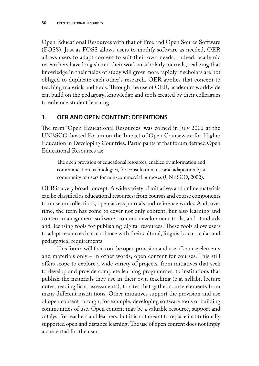Open Educational Resources with that of Free and Open Source Software (FOSS). Just as FOSS allows users to modify software as needed, OER allows users to adapt content to suit their own needs. Indeed, academic researchers have long shared their work in scholarly journals, realizing that knowledge in their fields of study will grow more rapidly if scholars are not obliged to duplicate each other's research. OER applies that concept to teaching materials and tools. Through the use of OER, academics worldwide can build on the pedagogy, knowledge and tools created by their colleagues to enhance student learning.

#### **1. OER AND OPEN CONTENT: DEFINITIONS**

The term 'Open Educational Resources' was coined in July 2002 at the UNESCO-hosted Forum on the Impact of Open Courseware for Higher Education in Developing Countries. Participants at that forum defined Open Educational Resources as:

The open provision of educational resources, enabled by information and communication technologies, for consultation, use and adaptation by a community of users for non-commercial purposes (UNESCO, 2002).

OER is a very broad concept. A wide variety of initiatives and online materials can be classified as educational resources: from courses and course components to museum collections, open access journals and reference works. And, over time, the term has come to cover not only content, but also learning and content management software, content development tools, and standards and licensing tools for publishing digital resources. These tools allow users to adapt resources in accordance with their cultural, linguistic, curricular and pedagogical requirements.

This forum will focus on the open provision and use of course elements and materials only  $-$  in other words, open content for courses. This still offers scope to explore a wide variety of projects, from initiatives that seek to develop and provide complete learning programmes, to institutions that publish the materials they use in their own teaching (e.g. syllabi, lecture notes, reading lists, assessments), to sites that gather course elements from many different institutions. Other initiatives support the provision and use of open content through, for example, developing software tools or building communities of use. Open content may be a valuable resource, support and catalyst for teachers and learners, but it is not meant to replace institutionally supported open and distance learning. The use of open content does not imply a credential for the user.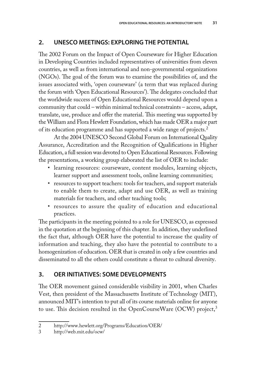## **2. UNESCO MEETINGS: EXPLORING THE POTENTIAL**

The 2002 Forum on the Impact of Open Courseware for Higher Education in Developing Countries included representatives of universities from eleven countries, as well as from international and non-governmental organizations  $(NGOs)$ . The goal of the forum was to examine the possibilities of, and the issues associated with, 'open courseware' (a term that was replaced during the forum with 'Open Educational Resources'). The delegates concluded that the worldwide success of Open Educational Resources would depend upon a community that could – within minimal technical constraints – access, adapt, translate, use, produce and offer the material. This meeting was supported by the William and Flora Hewlett Foundation, which has made OER a major part of its education programme and has supported a wide range of projects.<sup>2</sup>

At the 2004 UNESCO Second Global Forum on International Quality Assurance, Accreditation and the Recognition of Qualifications in Higher Education, a full session was devoted to Open Educational Resources. Following the presentations, a working group elaborated the list of OER to include:

- learning resources: courseware, content modules, learning objects, learner support and assessment tools, online learning communities;
- resources to support teachers: tools for teachers, and support materials to enable them to create, adapt and use OER, as well as training materials for teachers, and other teaching tools;
- resources to assure the quality of education and educational practices.

The participants in the meeting pointed to a role for UNESCO, as expressed in the quotation at the beginning of this chapter. In addition, they underlined the fact that, although OER have the potential to increase the quality of information and teaching, they also have the potential to contribute to a homogenization of education. OER that is created in only a few countries and disseminated to all the others could constitute a threat to cultural diversity.

## **3. OER INITIATIVES: SOME DEVELOPMENTS**

The OER movement gained considerable visibility in 2001, when Charles Vest, then president of the Massachusetts Institute of Technology (MIT), announced MIT's intention to put all of its course materials online for anyone to use. This decision resulted in the OpenCourseWare (OCW) project, $3$ 

<sup>2</sup> http://www.hewlett.org/Programs/Education/OER/

<sup>3</sup> http://web.mit.edu/ocw/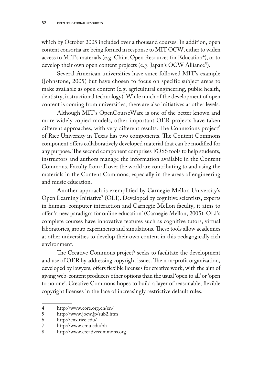which by October 2005 included over a thousand courses. In addition, open content consortia are being formed in response to MIT OCW, either to widen access to MIT's materials (e.g. China Open Resources for Education<sup>4</sup>), or to develop their own open content projects (e.g. Japan's OCW Alliance<sup>5</sup>).

Several American universities have since followed MIT's example (Johnstone, 2005) but have chosen to focus on specific subject areas to make available as open content (e.g. agricultural engineering, public health, dentistry, instructional technology). While much of the development of open content is coming from universities, there are also initiatives at other levels.

Although MIT's OpenCourseWare is one of the better known and more widely copied models, other important OER projects have taken different approaches, with very different results. The Connexions project<sup>6</sup> of Rice University in Texas has two components. The Content Commons component offers collaboratively developed material that can be modified for any purpose. The second component comprises FOSS tools to help students, instructors and authors manage the information available in the Content Commons. Faculty from all over the world are contributing to and using the materials in the Content Commons, especially in the areas of engineering and music education.

Another approach is exemplified by Carnegie Mellon University's Open Learning Initiative<sup>7</sup> (OLI). Developed by cognitive scientists, experts in human–computer interaction and Carnegie Mellon faculty, it aims to offer 'a new paradigm for online education' (Carnegie Mellon, 2005). OLI's complete courses have innovative features such as cognitive tutors, virtual laboratories, group experiments and simulations. These tools allow academics at other universities to develop their own content in this pedagogically rich environment.

The Creative Commons project<sup>8</sup> seeks to facilitate the development and use of OER by addressing copyright issues. The non-profit organization, developed by lawyers, offers flexible licenses for creative work, with the aim of giving web-content producers other options than the usual 'open to all' or 'open to no one'. Creative Commons hopes to build a layer of reasonable, flexible copyright licenses in the face of increasingly restrictive default rules.

<sup>4</sup> http://www.core.org.cn/en/

<sup>5</sup> http://www.jocw.jp/sub2.htm

<sup>6</sup> http://cnx.rice.edu/

<sup>7</sup> http://www.cmu.edu/oli

<sup>8</sup> http://www.creativecommons.org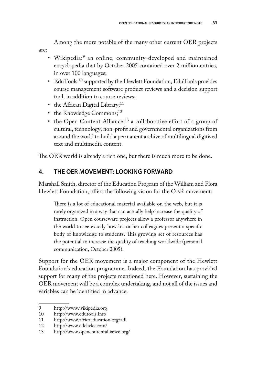Among the more notable of the many other current OER projects are:

- Wikipedia:<sup>9</sup> an online, community-developed and maintained encyclopedia that by October 2005 contained over 2 million entries, in over 100 languages;
- EduTools:<sup>10</sup> supported by the Hewlett Foundation, EduTools provides course management software product reviews and a decision support tool, in addition to course reviews;
- the African Digital Library;<sup>11</sup>
- $\cdot$  the Knowledge Commons;<sup>12</sup>
- $\cdot$  the Open Content Alliance:<sup>13</sup> a collaborative effort of a group of cultural, technology, non-profit and governmental organizations from around the world to build a permanent archive of multilingual digitized text and multimedia content.

The OER world is already a rich one, but there is much more to be done.

## **4. THE OER MOVEMENT: LOOKING FORWARD**

Marshall Smith, director of the Education Program of the William and Flora Hewlett Foundation, offers the following vision for the OER movement:

There is a lot of educational material available on the web, but it is rarely organized in a way that can actually help increase the quality of instruction. Open courseware projects allow a professor anywhere in the world to see exactly how his or her colleagues present a specific body of knowledge to students. This growing set of resources has the potential to increase the quality of teaching worldwide (personal communication, October 2005).

Support for the OER movement is a major component of the Hewlett Foundation's education programme. Indeed, the Foundation has provided support for many of the projects mentioned here. However, sustaining the OER movement will be a complex undertaking, and not all of the issues and variables can be identified in advance.

<sup>9</sup> http://www.wikipedia.org

<sup>10</sup> http://www.edutools.info

<sup>11</sup> http://www.africaeducation.org/adl

<sup>12</sup> http://www.edclicks.com/

<sup>13</sup> http://www.opencontentalliance.org/